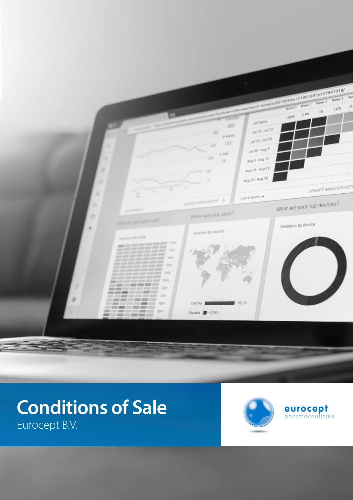

# **Conditions of Sale** Eurocept B.V.



**eurocept** pharmaceuticals

**GENERAL SALES, DELIVERY AND PAYMENT TERMS AND CONDITIONS OF**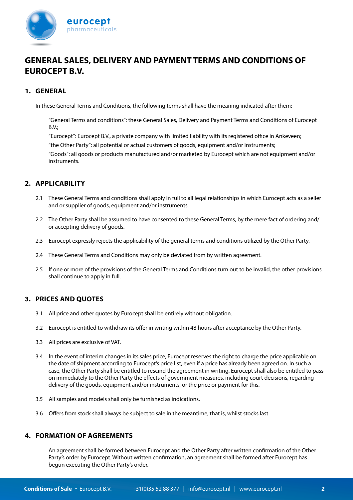

# **GENERAL SALES, DELIVERY AND PAYMENT TERMS AND CONDITIONS OF EUROCEPT B.V.**

#### **1. GENERAL**

In these General Terms and Conditions, the following terms shall have the meaning indicated after them:

"GeneraI Terms and conditions": these General Sales, Delivery and Payment Terms and Conditions of Eurocept B.V.;

"Eurocept": Eurocept B.V., a private company with limited liability with its registered office in Ankeveen;

"the Other Party": all potential or actual customers of goods, equipment and/or instruments;

"Goods": all goods or products manufactured and/or marketed by Eurocept which are not equipment and/or instruments.

## **2. APPLICABILITY**

- 2.1 These General Terms and conditions shall apply in full to all legal relationships in which Eurocept acts as a seller and or supplier of goods, equipment and/or instruments.
- 2.2 The Other Party shall be assumed to have consented to these General Terms, by the mere fact of ordering and/ or accepting delivery of goods.
- 2.3 Eurocept expressly rejects the applicability of the general terms and conditions utilized by the Other Party.
- 2.4 These General Terms and Conditions may only be deviated from by written agreement.
- 2.5 lf one or more of the provisions of the General Terms and Conditions turn out to be invalid, the other provisions shall continue to apply in full.

## **3. PRICES AND QUOTES**

- 3.1 All price and other quotes by Eurocept shall be entirely without obligation.
- 3.2 Eurocept is entitled to withdraw its offer in writing within 48 hours after acceptance by the Other Party.
- 3.3 All prices are exclusive of VAT.
- 3.4 In the event of interim changes in its sales price, Eurocept reserves the right to charge the price applicable on the date of shipment according to Eurocept's price list, even if a price has already been agreed on. In such a case, the Other Party shall be entitled to rescind the agreement in writing. Eurocept shall also be entitled to pass on immediately to the Other Party the effects of government measures, including court decisions, regarding delivery of the goods, equipment and/or instruments, or the price or payment for this.
- 3.5 All samples and models shall only be furnished as indications.
- 3.6 Offers from stock shall always be subject to sale in the meantime, that is, whilst stocks last.

#### **4. FORMATION OF AGREEMENTS**

An agreement shall be formed between Eurocept and the Other Party after written confirmation of the Other Party's order by Eurocept. Without written confirmation, an agreement shall be formed after Eurocept has begun executing the Other Party's order.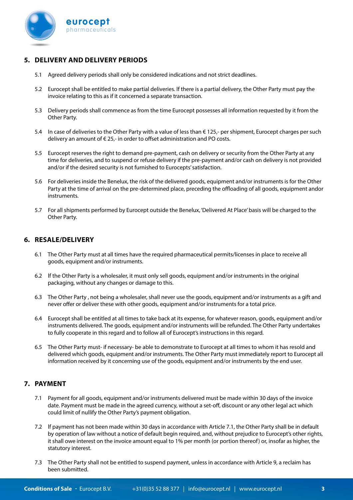

# **5. DELIVERY AND DELIVERY PERIODS**

- 5.1 Agreed delivery periods shall only be considered indications and not strict deadlines.
- 5.2 Eurocept shall be entitled to make partial deliveries. lf there is a partial delivery, the Other Party must pay the invoice relating to this as if it concerned a separate transaction.
- 5.3 Delivery periods shall commence as from the time Eurocept possesses all information requested by it from the Other Party.
- 5.4 In case of deliveries to the Other Party with a value of less than  $\epsilon$  125,- per shipment, Eurocept charges per such delivery an amount of € 25,- in order to offset administration and PO costs.
- 5.5 Eurocept reserves the right to demand pre-payment, cash on delivery or security from the Other Party at any time for deliveries, and to suspend or refuse delivery if the pre-payment and/or cash on delivery is not provided and/or if the desired security is not furnished to Eurocepts' satisfaction.
- 5.6 For deliveries inside the Benelux, the risk of the delivered goods, equipment and/or instruments is for the Other Party at the time of arrival on the pre-determined place, preceding the offloading of all goods, equipment andor instruments.
- 5.7 For all shipments performed by Eurocept outside the Benelux, 'Delivered At Place' basis will be charged to the Other Party.

# **6. RESALE/DELIVERY**

- 6.1 The Other Party must at all times have the required pharmaceutical permits/licenses in place to receive all goods, equipment and/or instruments.
- 6.2 lf the Other Party is a wholesaler, it must only sell goods, equipment and/or instruments in the original packaging, without any changes or damage to this.
- 6.3 The Other Party , not being a wholesaler, shall never use the goods, equipment and/or instruments as a gift and never offer or deliver these with other goods, equipment and/or instruments for a total price.
- 6.4 Eurocept shall be entitled at all times to take back at its expense, for whatever reason, goods, equipment and/or instruments delivered. The goods, equipment and/or instruments will be refunded. The Other Party undertakes to fully cooperate in this regard and to follow all of Eurocept's instructions in this regard.
- 6.5 The Other Party must- if necessary- be able to demonstrate to Eurocept at all times to whom it has resold and delivered which goods, equipment and/or instruments. The Other Party must immediately report to Eurocept all information received by it concerning use of the goods, equipment and/or instruments by the end user.

# **7. PAYMENT**

- 7.1 Payment for all goods, equipment and/or instruments delivered must be made within 30 days of the invoice date. Payment must be made in the agreed currency, without a set-off, discount or any other legal act which could limit of nullify the Other Party's payment obligation.
- 7.2 lf payment has not been made within 30 days in accordance with Article 7.1, the Other Party shall be in default by operation of law without a notice of default begin required, and, without prejudice to Eurocept's other rights, it shall owe interest on the invoice amount equal to 1% per month (or portion thereof) or, insofar as higher, the statutory interest.
- 7.3 The Other Party shall not be entitled to suspend payment, unless in accordance with Article 9, a reclaim has been submitted.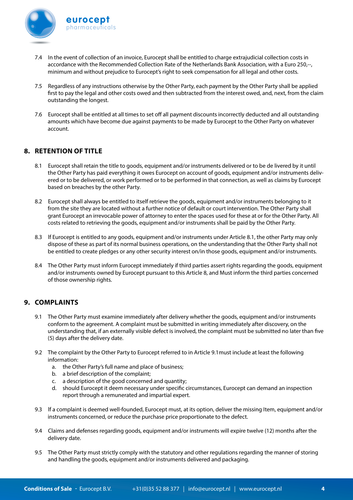

- 7.4 In the event of collection of an invoice, Eurocept shall be entitled to charge extrajudicial collection costs in accordance with the Recommended Collection Rate of the Netherlands Bank Association, with a Euro 250,--, minimum and without prejudice to Eurocept's right to seek compensation for all legal and other costs.
- 7.5 Regardless of any instructions otherwise by the Other Party, each payment by the Other Party shall be applied first to pay the legal and other costs owed and then subtracted from the interest owed, and, next, from the claim outstanding the longest.
- 7.6 Eurocept shall be entitled at all times to set off all payment discounts incorrectly deducted and all outstanding amounts which have become due against payments to be made by Eurocept to the Other Party on whatever account.

#### **8. RETENTION OF TITLE**

- 8.1 Eurocept shall retain the title to goods, equipment and/or instruments delivered or to be de livered by it until the Other Party has paid everything it owes Eurocept on account of goods, equipment and/or instruments delivered or to be delivered, or work performed or to be performed in that connection, as well as claims by Eurocept based on breaches by the other Party.
- 8.2 Eurocept shall always be entitled to itself retrieve the goods, equipment and/or instruments belonging to it from the site they are located without a further notice of default or court intervention. The Other Party shall grant Eurocept an irrevocable power of attorney to enter the spaces used for these at or for the Other Party. All costs related to retrieving the goods, equipment and/or instruments shall be paid by the Other Party.
- 8.3 lf Eurocept is entitled to any goods, equipment and/or instruments under Article 8.1, the other Party may only dispose of these as part of its normal business operations, on the understanding that the Other Party shall not be entitled to create pledges or any other security interest on/in those goods, equipment and/or instruments.
- 8.4 The Other Party must inform Eurocept immediately if third parties assert rights regarding the goods, equipment and/or instruments owned by Eurocept pursuant to this Article 8, and Must inform the third parties concerned of those ownership rights.

## **9. COMPLAINTS**

- 9.1 The Other Party must examine immediately after delivery whether the goods, equipment and/or instruments conform to the agreement. A complaint must be submitted in writing immediately after discovery, on the understanding that, if an externally visible defect is involved, the complaint must be submitted no later than five (5) days after the delivery date.
- 9.2 The complaint by the Other Party to Eurocept referred to in Article 9.1must include at least the following information:
	- a. the Other Party's full name and place of business;
	- b. a brief description of the complaint;
	- c. a description of the good concerned and quantity;
	- d. should Eurocept it deem necessary under specific circumstances, Eurocept can demand an inspection report through a remunerated and impartial expert.
- 9.3 lf a complaint is deemed well-founded, Eurocept must, at its option, deliver the missing Item, equipment and/or instruments concerned, or reduce the purchase price proportionate to the defect.
- 9.4 Claims and defenses regarding goods, equipment and/or instruments will expire twelve (12) months after the delivery date.
- 9.5 The Other Party must strictly comply with the statutory and other regulations regarding the manner of storing and handling the goods, equipment and/or instruments delivered and packaging.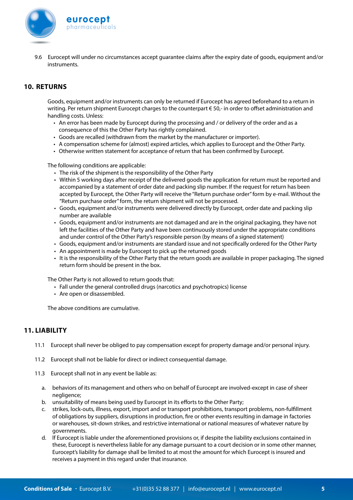

9.6 Eurocept will under no circumstances accept guarantee claims after the expiry date of goods, equipment and/or instruments.

## **10. RETURNS**

Goods, equipment and/or instruments can only be returned if Eurocept has agreed beforehand to a return in writing. Per return shipment Eurocept charges to the counterpart € 50,- in order to offset administration and handling costs. Unless:

- An error has been made by Eurocept during the processing and / or delivery of the order and as a consequence of this the Other Party has rightly complained.
- Goods are recalled (withdrawn from the market by the manufacturer or importer).
- A compensation scheme for (almost) expired articles, which applies to Eurocept and the Other Party.
- Otherwise written statement for acceptance of return that has been confirmed by Eurocept.

The following conditions are applicable:

- The risk of the shipment is the responsibility of the Other Party
- Within 5 working days after receipt of the delivered goods the application for return must be reported and accompanied by a statement of order date and packing slip number. If the request for return has been accepted by Eurocept, the Other Party will receive the "Return purchase order" form by e-mail. Without the "Return purchase order" form, the return shipment will not be processed.
- Goods, equipment and/or instruments were delivered directly by Eurocept, order date and packing slip number are available
- Goods, equipment and/or instruments are not damaged and are in the original packaging, they have not left the facilities of the Other Party and have been continuously stored under the appropriate conditions and under control of the Other Party's responsible person (by means of a signed statement)
- Goods, equipment and/or instruments are standard issue and not specifically ordered for the Other Party
- An appointment is made by Eurocept to pick up the returned goods
- It is the responsibility of the Other Party that the return goods are available in proper packaging. The signed return form should be present in the box.

The Other Party is not allowed to return goods that:

- Fall under the general controlled drugs (narcotics and psychotropics) license
- Are open or disassembled.

The above conditions are cumulative.

#### **11. LIABILITY**

- 11.1 Eurocept shall never be obliged to pay compensation except for property damage and/or personal injury.
- 11.2 Eurocept shall not be liable for direct or indirect consequential damage.
- 11.3 Eurocept shall not in any event be liable as:
	- a. behaviors of its management and others who on behalf of Eurocept are involved-except in case of sheer negligence;
	- b. unsuitability of means being used by Eurocept in its efforts to the Other Party;
	- c. strikes, lock-outs, illness, export, import and or transport prohibitions, transport problems, non-fulfillment of obligations by suppliers, disruptions in production, fire or other events resulting in damage in factories or warehouses, sit-down strikes, and restrictive international or national measures of whatever nature by governments.
	- d. lf Eurocept is liable under the aforementioned provisions or, if despite the liability exclusions contained in these, Eurocept is nevertheless liable for any damage pursuant to a court decision or in some other manner, Eurocept's liability for damage shall be limited to at most the amount for which Eurocept is insured and receives a payment in this regard under that insurance.